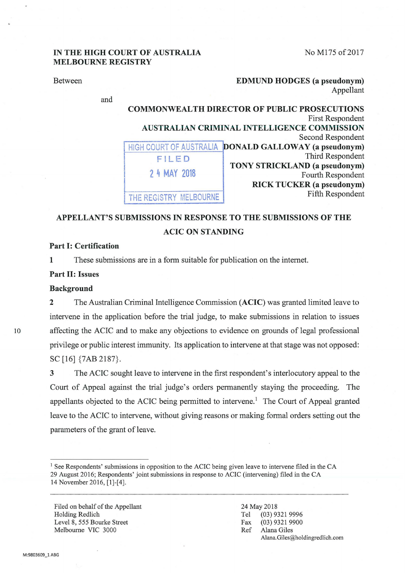No M175 of 2017

## **IN THE HIGH COURT OF AUSTRALIA MELBOURNE REGISTRY**

| <b>Between</b> |                       | <b>EDMUND HODGES</b> (a pseudonym)                  |
|----------------|-----------------------|-----------------------------------------------------|
|                |                       | Appellant                                           |
| and            |                       |                                                     |
|                |                       | <b>COMMONWEALTH DIRECTOR OF PUBLIC PROSECUTIONS</b> |
|                |                       | <b>First Respondent</b>                             |
|                |                       | <b>AUSTRALIAN CRIMINAL INTELLIGENCE COMMISSION</b>  |
|                |                       | Second Respondent                                   |
|                | <b>AUSTRALIA</b>      | DONALD GALLOWAY (a pseudonym)                       |
|                | FILED                 | Third Respondent                                    |
|                |                       | TONY STRICKLAND (a pseudonym)                       |
|                | 2 4 MAY 2018          | Fourth Respondent                                   |
|                |                       | <b>RICK TUCKER</b> (a pseudonym)                    |
|                | HE REGISTRY MELBOURNE | Fifth Respondent                                    |

# **APPELLANT'S SUBMISSIONS IN RESPONSE TO THE SUBMISSIONS OF THE ACIC ON STANDING**

## **Part I: Certification**

**1** These submissions are in a form suitable for publication on the intemet.

### **Part 11: Issues**

#### **Background**

**2** The Australian Criminal Intelligence Commission **(ACIC)** was granted limited leave to intervene in the application before the trial judge, to make submissions in relation to issues 10 affecting the ACIC and to make any objections to evidence on grounds of legal professional privilege or public interest immunity. Its application to intervene at that stage was not opposed: se [16] {7AB 2187}.

> **3** The ACIC sought leave to intervene in the first respondent's interlocutory appeal to the Court of Appeal against the trial judge's orders permanently staying the proceeding. The appellants objected to the ACIC being permitted to intervene.<sup>1</sup> The Court of Appeal granted leave to the ACIC to intervene, without giving reasons or making formal orders setting out the parameters of the grant of leave.

Filed on behalf of the Appellant Holding Redlich Level 8, 555 Bourke Street Melbourne VIC 3000

<sup>&</sup>lt;sup>1</sup> See Respondents' submissions in opposition to the ACIC being given leave to intervene filed in the CA 29 August 2016; Respondents' joint submissions in response to ACIC (intervening) filed in the CA 14 November 2016, [1]-[4].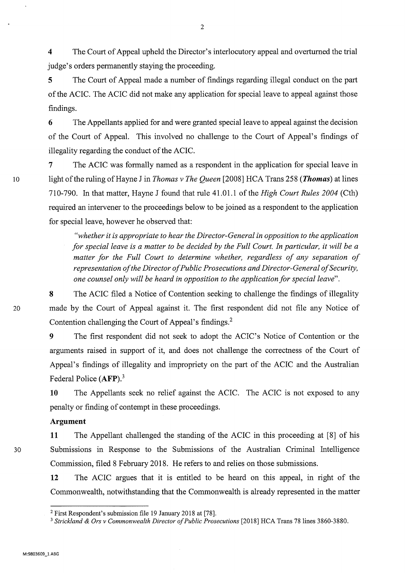**4** The Court of Appeal upheld the Director's interlocutory appeal and overturned the trial judge's orders permanently staying the proceeding.

**5** The Court of Appeal made a number of findings regarding illegal conduct on the part of the ACIC. The ACIC did not make any application for special leave to appeal against those findings.

**6** The Appellants applied for and were granted special leave to appeal against the decision of the Court of Appeal. This involved no challenge to the Court of Appeal's findings of illegality regarding the conduct of the ACIC.

7 The ACIC was formally named as a respondent in the application for special leave in 10 light of the ruling ofHayne J in *Thomas v The Queen* [2008] HCA Trans 258 *(Thomas)* at lines 710-790. In that matter, Hayne J found that rule 41.01.1 of the *High Court Rules 2004* (Cth) required an intervener to the proceedings below to be joined as a respondent to the application for special leave, however he observed that:

> *"whether it is appropriate to hear the Director-General in opposition to the application for special leave is a matter to be decided by the Full Court. In particular, it will be a matter for the Full Court to determine whether, regardless of any separation of representation of the Director of Public Prosecutions and Director-General of Security, one counsel only will be heard in opposition to the application for special leave".*

**8** The ACIC filed a Notice of Contention seeking to challenge the findings of illegality 20 made by the Court of Appeal against it. The first respondent did not file any Notice of Contention challenging the Court of Appeal's findings. <sup>2</sup>

> 9 The first respondent did not seek to adopt the ACIC's Notice of Contention or the arguments raised in support of it, and does not challenge the correctness of the Court of Appeal's findings of illegality and impropriety on the part of the ACIC and the Australian Federal Police **(AFP).<sup>3</sup>**

> **10** The Appellants seek no relief against the ACIC. The ACIC is not exposed to any penalty or finding of contempt in these proceedings.

## **Argument**

**11** The Appellant challenged the standing of the ACIC in this proceeding at [8] of his 30 Submissions in Response to the Submissions of the Australian Criminal Intelligence Commission, filed 8 February 2018. He refers to and relies on those submissions.

> **12** The ACIC argues that it is entitled to be heard on this appeal, in right of the Commonwealth, notwithstanding that the Commonwealth is already represented in the matter

<sup>2</sup> First Respondent's submission file 19 January 2018 at [78].

<sup>3</sup>*Strickland* & *Ors v Commonwealth Director of Public Prosecutions* [2018] HCA Trans 78 lines 3860-3880.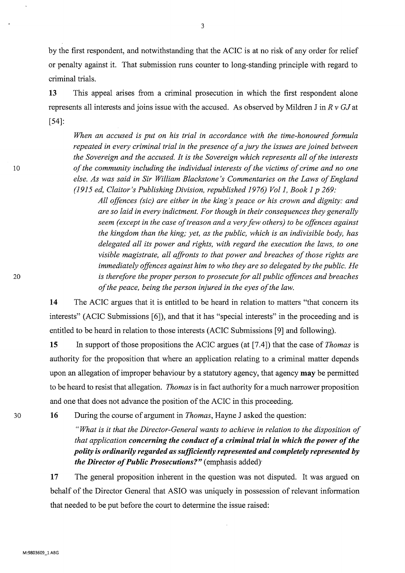by the first respondent, and notwithstanding that the ACIC is at no risk of any order for relief or penalty against it. That submission runs counter to long-standing principle with regard to criminal trials.

**13** This appeal arises from a criminal prosecution in which the first respondent alone represents all interests and joins issue with the accused. As observed by Mildren J in *R v GJ* at [54]:

*When an accused is put on his trial in accordance with the time-honoured formula repeated in every criminal trial in the presence of a jury the issues are joined between the Sovereign and the accused. It is the Sovereign which represents all of the interests of the community including the individual interests of the victims of crime and no one else. As was said in Sir William Blackstone 's Commentaries on the Laws of England (1915 ed, Claitor's Publishing Division, republished 1976) Vol1, Book 1 p 269:* 

*All offences (sic) are either in the king's peace or his crown and dignity: and are so laid in every indictment. For though in their consequences they generally seem (except in the case of treason and a very few others) to be offences against the kingdom than the king; yet, as the public, which is an indivisible body, has delegated all its power and rights, with regard the execution the laws, to one visible magistrate, all affronts to that power and breaches of those rights are immediately offences against him to who they are so delegated by the public. He is therefore the proper person to prosecute for all public offences and breaches of the peace, being the person injured in the eyes of the law.* 

**14** The ACIC argues that it is entitled to be heard in relation to matters "that concern its interests" (ACIC Submissions [6]), and that it has "special interests" in the proceeding and is entitled to be heard in relation to those interests (ACIC Submissions [9] and following).

**15** In support of those propositions the ACIC argues (at [7.4]) that the case of *Thomas* is authority for the proposition that where an application relating to a criminal matter depends upon an allegation of improper behaviour by a statutory agency, that agency **may** be permitted to be heard to resist that allegation. *Thomas* is in fact authority for a much narrower proposition and one that does not advance the position of the ACIC in this proceeding.

**16** During the course of argument in *Thomas,* Hayne J asked the question:

*"What is it that the Director-General wants to achieve in relation to the disposition of that application concerning the conduct of a criminal trial in which the power of the polity is ordinarily regarded as sufficiently represented and completely represented by the Director of Public Prosecutions?"* (emphasis added)

**17** The general proposition inherent in the question was not disputed. It was argued on behalf of the Director General that ASIO was uniquely in possession of relevant information that needed to be put before the court to determine the issue raised:

3

30

10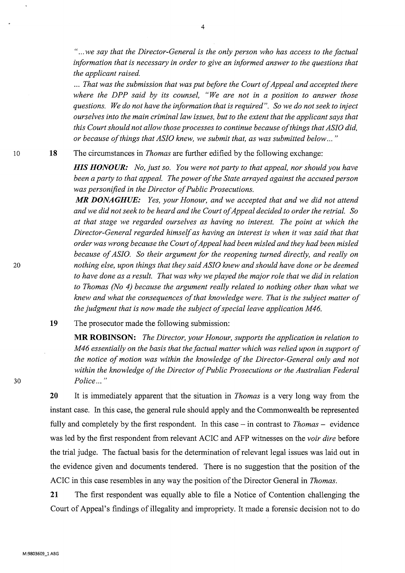*" ... we say that the Director-General is the only person who has access to the factual information that is necessary in order to give an informed answer to the questions that the applicant raised .* 

... *That was the submission that was put before the Court of Appeal and accepted there where the DPP said by its counsel, "We are not in a position to answer those questions. We do not have the information that is required". So we do not seek to inject ourselves into the main criminal law issues, but to the extent that the applicant says that this Court should not allow those processes to continue because of things that ASIO did, or because of things that ASIO knew, we submit that, as was submitted below ... "* 

**18**  The circumstances in *Thomas* are further edified by the following exchange:

> *HIS HONOUR: No, just so. You were not party to that appeal, nor should you have been a party to that appeal. The power of the State arrayed against the accused person was personified in the Director of Public Prosecutions.*

> *MR DONAGHUE: Yes, your Honour, and we accepted that and we did not attend and we did not seek to be heard and the Court of Appeal decided to order the retrial. So at that stage we regarded ourselves as having no interest. The point at which the Director-General regarded himself as having an interest is when it was said that that order was wrong because the Court of Appeal had been misled and they had been misled because of ASIO. So their argument for the reopening turned directly, and really on nothing else, upon things that they said ASIO knew and should have done or be deemed to have done as a result. That was why we played the major role that we did in relation to Thomas (No 4) because the argument really related to nothing other than what we knew and what the consequences of that knowledge were. That is the subject matter of the judgment that is now made the subject of special leave application M46.*

**19** The prosecutor made the following submission:

**MR ROBINSON:** *The Director, your Honour, supports the application in relation to M46 essentially on the basis that the factual matter which was relied upon in support of the notice of motion was within the knowledge of the Director-General only and not within the knowledge of the Director of Public Prosecutions or the Australian Federal Police ... "* 

**20**  It is immediately apparent that the situation in *Thomas* is a very long way from the instant case. In this case, the general rule should apply and the Commonwealth be represented fully and completely by the first respondent. In this case – in contrast to *Thomas* – evidence was led by the first respondent from relevant ACIC and AFP witnesses on the *voir dire* before the trial judge. The factual basis for the determination of relevant legal issues was laid out in the evidence given and documents tendered. There is no suggestion that the position of the ACIC in this case resembles in any way the position of the Director General in *Thomas.* 

**21** The first respondent was equally able to file a Notice of Contention challenging the Court of Appeal's findings of illegality and impropriety. It made a forensic decision not to do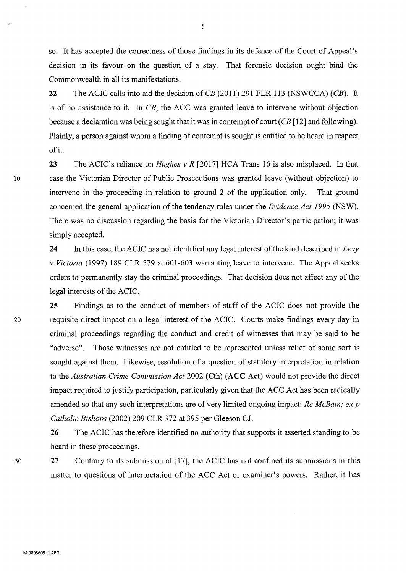so. It has accepted the correctness of those findings in its defence of the Court of Appeal's decision in its favour on the question of a stay. That forensic decision ought bind the Commonwealth in all its manifestations.

**22** The ACIC calls into aid the decision of CB (2011) 291 FLR 113 (NSWCCA) **(CB).** It is of no assistance to it. In CB, the ACC was granted leave to intervene without objection because a declaration was being sought that it was in contempt of court (CB [12] and following). Plainly, a person against whom a finding of contempt is sought is entitled to be heard in respect of it.

**23** The ACIC's reliance on *Hughes v R* [2017] HCA Trans 16 is also misplaced. In that 10 case the Victorian Director of Public Prosecutions was granted leave (without objection) to intervene in the proceeding in relation to ground 2 of the application only. That ground concerned the general application of the tendency rules under the *Evidence Act 1995* (NSW). There was no discussion regarding the basis for the Victorian Director's participation; it was simply accepted.

> **24** In this case, the ACIC has not identified any legal interest of the kind described in *Levy v Victoria* (1997) 189 CLR 579 at 601-603 warranting leave to intervene. The Appeal seeks orders to permanently stay the criminal proceedings. That decision does not affect any of the legal interests of the ACIC.

**25** Findings as to the conduct of members of staff of the ACIC does not provide the 20 requisite direct impact on a legal interest of the ACIC. Courts make findings every day in criminal proceedings regarding the conduct and credit of witnesses that may be said to be "adverse". Those witnesses are not entitled to be represented unless relief of some sort is sought against them. Likewise, resolution of a question of statutory interpretation in relation to the *Australian Crime Commission Act* 2002 (Cth) **(ACC Act)** would not provide the direct impact required to justify participation, particularly given that the ACC Act has been radically amended so that any such interpretations are of very limited ongoing impact: *Re McBain; ex p Catholic Bishops* (2002) 209 CLR 372 at 395 per Gleeson CJ.

> **26** The ACIC has therefore identified no authority that supports it asserted standing to be heard in these proceedings.

30 **27** Contrary to its submission at [17], the ACIC has not confined its submissions in this matter to questions of interpretation of the ACC Act or examiner's powers. Rather, it has